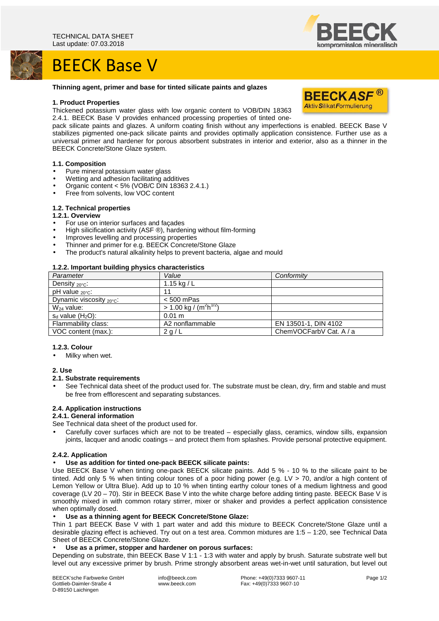# BEECK Base V

#### **Thinning agent, primer and base for tinted silicate paints and glazes**

#### **1. Product Properties**

Thickened potassium water glass with low organic content to VOB/DIN 18363 2.4.1. BEECK Base V provides enhanced processing properties of tinted one-

pack silicate paints and glazes. A uniform coating finish without any imperfections is enabled. BEECK Base V stabilizes pigmented one-pack silicate paints and provides optimally application consistence. Further use as a universal primer and hardener for porous absorbent substrates in interior and exterior, also as a thinner in the BEECK Concrete/Stone Glaze system.

#### **1.1. Composition**

- Pure mineral potassium water glass
- Wetting and adhesion facilitating additives
- Organic content < 5% (VOB/C DIN 18363 2.4.1.)
- Free from solvents, low VOC content

## **1.2. Technical properties**

## **1.2.1. Overview**

- For use on interior surfaces and façades
- High silicification activity (ASF ®), hardening without film-forming
- Improves levelling and processing properties
- Thinner and primer for e.g. BEECK Concrete/Stone Glaze
- The product's natural alkalinity helps to prevent bacteria, algae and mould

#### **1.2.2. Important building physics characteristics**

| Parameter                         | Value                                             | Conformity              |
|-----------------------------------|---------------------------------------------------|-------------------------|
| Density $20^{\circ}$ C:           | 1.15 kg / $L$                                     |                         |
| pH value $_{20\degree}$ C:        | 11                                                |                         |
| Dynamic viscosity $20^{\circ}$ c: | $< 500$ mPas                                      |                         |
| $W_{24}$ value:                   | $> 1.00 \text{ kg} / (\text{m}^2 \text{h}^{1/2})$ |                         |
| $s_d$ value $(H_2O)$ :            | $0.01 \text{ m}$                                  |                         |
| Flammability class:               | A2 nonflammable                                   | EN 13501-1, DIN 4102    |
| VOC content (max.):               | 2 g/L                                             | ChemVOCFarbV Cat. A / a |

#### **1.2.3. Colour**

Milky when wet.

## **2. Use**

#### **2.1. Substrate requirements**

• See Technical data sheet of the product used for. The substrate must be clean, dry, firm and stable and must be free from efflorescent and separating substances.

## **2.4. Application instructions**

# **2.4.1. General information**

- See Technical data sheet of the product used for.
- Carefully cover surfaces which are not to be treated especially glass, ceramics, window sills, expansion joints, lacquer and anodic coatings – and protect them from splashes. Provide personal protective equipment.

## **2.4.2. Application**

#### • **Use as addition for tinted one-pack BEECK silicate paints:**

Use BEECK Base V when tinting one-pack BEECK silicate paints. Add 5 % - 10 % to the silicate paint to be tinted. Add only 5 % when tinting colour tones of a poor hiding power (e.g. LV > 70, and/or a high content of Lemon Yellow or Ultra Blue). Add up to 10 % when tinting earthy colour tones of a medium lightness and good coverage (LV 20 – 70). Stir in BEECK Base V into the white charge before adding tinting paste. BEECK Base V is smoothly mixed in with common rotary stirrer, mixer or shaker and provides a perfect application consistence when optimally dosed.

#### • **Use as a thinning agent for BEECK Concrete/Stone Glaze:**

Thin 1 part BEECK Base V with 1 part water and add this mixture to BEECK Concrete/Stone Glaze until a desirable glazing effect is achieved. Try out on a test area. Common mixtures are 1:5 – 1:20, see Technical Data Sheet of BEECK Concrete/Stone Glaze.

## • **Use as a primer, stopper and hardener on porous surfaces:**

Depending on substrate, thin BEECK Base V 1:1 - 1:3 with water and apply by brush. Saturate substrate well but level out any excessive primer by brush. Prime strongly absorbent areas wet-in-wet until saturation, but level out

 Phone: +49(0)7333 9607-11 Fax: +49(0)7333 9607-10